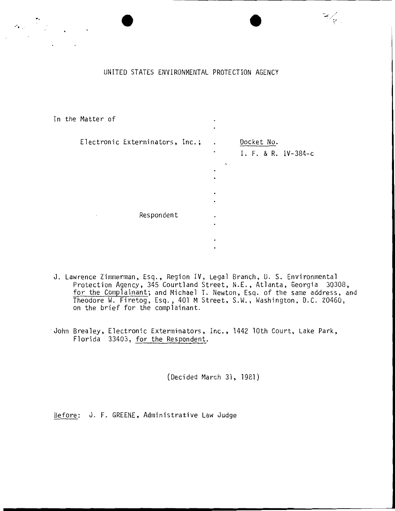UNITED STATES ENVIRONMENTAL PROTECTION AGENCY

 $\frac{3}{2}$ 

..

:.·. , '

| In the Matter of                | ٠                                                 |                                   |
|---------------------------------|---------------------------------------------------|-----------------------------------|
| Electronic Exterminators, Inc.; | $\ddot{\phantom{a}}$<br>٠<br><b>A</b> .<br>٠<br>٠ | Docket No.<br>I. F. & R. IV-384-c |
| Respondent<br>$\cdot$           | ٠<br>٠<br>٠<br>٠                                  |                                   |

- J. Lawrence Zimmerman, Esq., Region IV, Legal Branch, U. S. Environmental Protection Agency, 345 Courtland Street, N.E., Atlanta, Georgia 30308, for the Complainant; and Michael T. Newton, Esq. of the same address, and Theodore W. Firetog, Esq., 401 M Street, S.W., Washington, D.C. 20460, on the brief for the complainant.
- John Brealey, Electronic Exterminators, Inc., 1442 lOth Court, Lake Park, Florida 33403, for the Respondent.

(Decided March 31, 1981)

Before: J. F. GREENE, Administrative Law Judge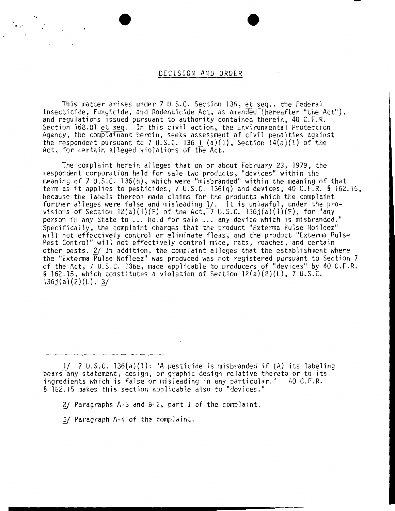## DECISION AND ORDER

This matter arises under 7 U.S.C. Section  $136$ , et seq., the Federal Insecticide, Fungicide, and Rodenticide Act, as amended (hereafter "the Act"), and regulations issued pursuant to authority contained therein, 40 C.F.R. Section 168.01 et seq. In this civil action, the Environmental Protection Agency, the complainant herein, seeks assessment of civil penalties against the respondent pursuant to 7 U.S.C. 136 1 (a)(1), Section  $14(a)(1)$  of the Act, for certain alleged violations of the Act.

The complaint herein alleges that on or about February 23, 1979, the respondent corporation held for sale two products, "devices" within the meaning of 7 U.S.C. l36(h), which were "misbranded" within the meaning of that term as it applies to pesticides, 7 U.S.C. l36(q) and devices, 40 C.F.R. § 162.15, because the labels thereon made claims for the products which the complaint further alleges were false and misleading 1/. It is unlawful, under the provisions of Section 12(a)(1)(F) of the Act, 7 U.S.C. 136j(a)(1)(F), for "any person in any State to ... hold for sale ... any device which is misbranded." Specifically, the complaint charges that the product "Exterma Pulse Nofleez" will not effectively control or eliminate fleas, and the product "Exterma Pulse Pest Control" will not effectively control mice, rats, roaches, and certain other pests. 2/ In addition, the complaint alleges that the establishment where the "Exterma Pulse Nofleez" was produced was not registered pursuant to Section 7 of the Act, 7 U.S.C. 136e, made applicable to producers of "devices" by 40 C.F.R. § 162.15, which constitutes a violation of Section 12(a)(2)(L), 7 U.S. C.  $136j(a)(2)(L)$ . 3/

- 2/ Paragraphs A-3 and B-2, part I of the complaint.
- *1f* Paragraph A-4 of the complaint.

 $T_{\bullet}$  . The set

l/ 7 U.S.C. 136(a)(1): "A pesticide is misbranded if (A) its labeling bears<sup>-</sup>any statement, design, or graphic design relative thereto or to its ingredients which is false or misleading in any particular." 40 C.F.R. § 162.15 makes this section applicable also to "devices."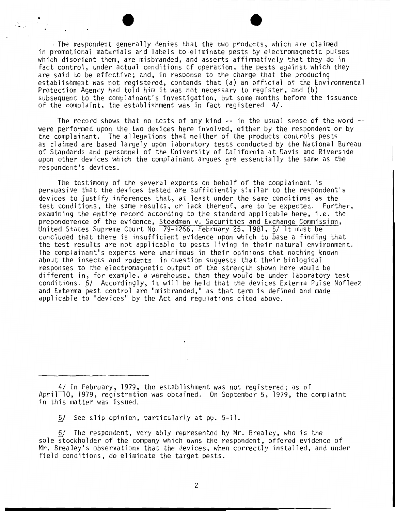$\cdot$  The respondent generally denies that the two products, which are claimed in promotional materials and labels to eliminate pests by electromagnetic pulses which disorient them, are misbranded, and asserts affirmatively that they do in fact control, under actual conditions of operation, the pests against which they are said to be effective; and, in response to the charge that the producing establishment was not registered, contends that (a) an official of the Environmental Protection Agency had told him it was not necessary to register, and (b) subsequent to the complainant's investigation, but some months before the issuance of the complaint, the establishment was in fact registered  $4/$ .

 $\mathcal{L}_{\mathbf{z},\mathbf{z}}$ 

The record shows that no tests of any kind -- in the usual sense of the word --<br>were performed upon the two devices here involved, either by the respondent or by the complainant. The allegations that neither of the products controls pests as claimed are based largely upon laboratory tests conducted by the National Bureau of Standards and personnel of the University of California at Davis and Riverside upon other devices which the complainant argues are essentially the same as the respondent's devices.

The testimony of the several experts on behalf of the complainant is persuasive that the devices tested are sufficiently similar to the respondent's devices to justify inferences that, at least under the same conditions as the test conditions, the same results, or lack thereof, are to be expected. Further, examining the entire record according to the standard applicable here, i.e. the preponderence of the evidence, Steadman v. Securities and Exchange Commission, United States Supreme Court No. 79-1266, February 25, 1981, 5/ it must be concluded that there is insufficient evidence upon which to base a finding that the test results are not applicable to pests living in their natural environment. The complainant's experts were unanimous in their opinions that nothing known about the insects and rodents in question suggests that their biological responses to the electromagnetic output of the strength shown here would be different in, for example, a warehouse, than they would be under laboratory test conditions. 6/ Accordingly, it will be held that the devices Exterma Pulse Nofleez and Exterma pest control are "misbranded," as that term is defined and made applicable to "devices" by the Act and regulations cited above.

5/ See slip opinion, particularly at pp. 5-11.

6/ The respondent, very ably represented by Mr. Brealey, who is the sole stockholder of the company which owns the respondent, offered evidence of Mr. Brealey's observations that the devices, when correctly installed, and under field conditions, do eliminate the target pests.

<sup>4/</sup> In February, 1979, the establishment was not registered; as of April<sup>-1</sup>0, 1979, registration was obtained. On September 5, 1979, the complaint in this matter was issued.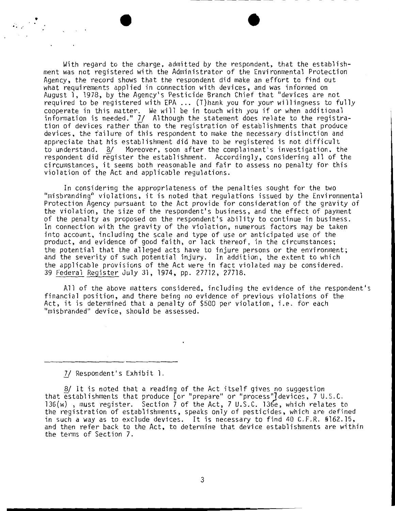With regard to the charge, admitted by the respondent, that the establishment was not registered with the Administrator of the Environmental Protection Agency, the record shows that the respondent did make an effort to find out what requirements applied in connection with devices, and was informed on August l, 1978, by the Agency's Pesticide Branch Chief that "devices are not required to be registered with EPA ... (T)hank you for your willingness to fully cooperate in this matter. We will be in touch with you if or when additional information is needed." 7/ Although the statement does relate to the registration of devices rather than to the registration of establishments that produce devices, the failure of this respondent to make the necessary distinction and appreciate that his establishment did have to be registered is not difficult to understand. 8/ Moreover, soon after the complainant's investigation, the respondent did register the establishment. Accordingly, considering all of the circumstances, it seems both reasonable and fair to assess no penalty for this violation of the Act and applicable regulations.

In considering the appropriateness of the penalties sought for the two "misbranding'' violations, it is noted that regulations issued by the Environmental Protection Agency pursuant to the Act provide for consideration of the gravity of the violation, the size of the respondent's business, and the effect of payment of the penalty as proposed on the respondent's ability to continue in business. In connection with the gravity of the violation, numerous factors may be taken into account, including the scale and type of use or anticipated use of the product, and evidence of good faith, or lack thereof, in the circumstances; the potential that the alleged acts have to injure persons or the environment; and the severity of such potential injury. In addition, the extent to which the applicable provisions of the Act were in fact violated may be considered. 39 Federal Register July 31, 1974, pp. 27712, 27718.

All of the above matters considered, including the evidence of the respondent's financial position, and there being no evidence of previous violations of the Act, it is determined that a penalty of \$500 per violation, i.e. for each "misbranded" device, should be assessed.

*1J* Respondent's Exhibit 1.

 $\mathbb{P}_{\mathbb{P}^1} \times \mathbb{P}^1$ 

8/ It is noted that a reading of the Act itself gives no suggestion that establishments that produce [or "prepare" or "process"] devices, 7 U.S.C. l36(w) , must register. Section 7 of the Act, 7 U.S.C. l36e, which relates to the registration of establishments, speaks only of pesticides, which are defined in such a way as to exclude devices. It is necessary to find 40 C.F.R. §162. 15, and then refer back to the Act, to determine that device establishments are within the terms of Section 7.

............ --------------------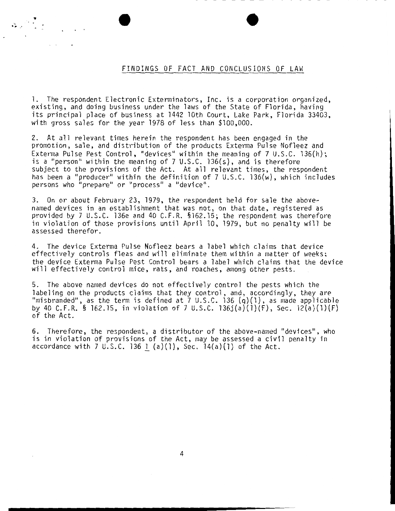## FINDINGS OF FACT AND CONCLUSIONS OF LAW

1. The respondent Electronic Exterminators, Inc. is a corporation organized, existing, and doing business under the laws of the State of Florida, having its principal place of business at 1442 lOth Court, Lake Park, Florida 33403, with gross sales for the year 1978 of less than \$100,000.

 $\mathcal{L}_{\mathcal{A}}\subset\mathcal{L}_{\mathcal{A}}$ 

2. At all relevant times herein the respondent has been engaged in the promotion, sale, and distribution of the products Exterma Pulse Nofleez and Exterma Pulse Pest Control, "devices" within the meaning of 7 U.S.C. 136(h); is a "person" within the meaning of 7 U.S.C. l36(s), and is therefore subject to the provisions of the Act. At all relevant times, the respondent has been a "producer" within the definition of 7 U.S.C. 136(w), which includes persons who "prepare" or "process" a "device".

3. On or about February 23, 1979, the respondent held for sale the abovenamed devices in an establishment that was not, on that date, registered as provided by 7 U.S .C. 136e and 40 C.F.R. §162. 15; the respondent was therefore in violation of those provisions until April 10, 1979, but no penalty will be assessed therefor.

4. The device Exterma Pulse Nofleez bears a label which claims that device effectively controls fleas and will eliminate them within a matter of weeks; the device Exterma Pulse Pest Control bears a label which claims that the device will effectively control mice, rats, and roaches, among other pests.

5. The above named devices do not effectively control the pests which the labeling on the products claims that they control, and, accordingly, they are "misbranded", as the term is defined at  $7 \cup .5.C.$  136 (q)(1), as made applicable by 40 C.F.R. § 162.15, in violation of 7 U.S.C. l36j(a)(l)(F), Sec. 12(a)(l)(F) of the Act.

6. Therefore, the respondent, a distributor of the above-named "devices", who is in violation of provisions of the Act, may be assessed a civil penalty in accordance with 7 U.S.C. 136 1 (a) $(1)$ , Sec. 14 $(a)(1)$  of the Act.